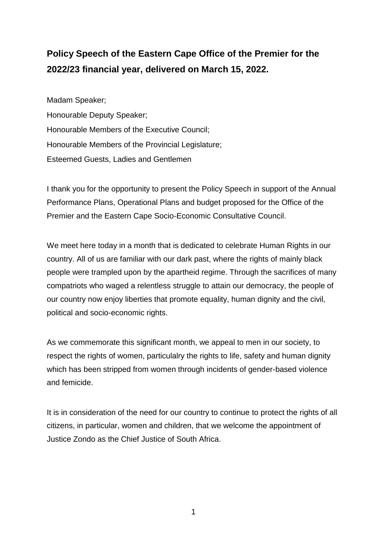## **Policy Speech of the Eastern Cape Office of the Premier for the 2022/23 financial year, delivered on March 15, 2022.**

Madam Speaker; Honourable Deputy Speaker; Honourable Members of the Executive Council; Honourable Members of the Provincial Legislature; Esteemed Guests, Ladies and Gentlemen

I thank you for the opportunity to present the Policy Speech in support of the Annual Performance Plans, Operational Plans and budget proposed for the Office of the Premier and the Eastern Cape Socio-Economic Consultative Council.

We meet here today in a month that is dedicated to celebrate Human Rights in our country. All of us are familiar with our dark past, where the rights of mainly black people were trampled upon by the apartheid regime. Through the sacrifices of many compatriots who waged a relentless struggle to attain our democracy, the people of our country now enjoy liberties that promote equality, human dignity and the civil, political and socio-economic rights.

As we commemorate this significant month, we appeal to men in our society, to respect the rights of women, particulalry the rights to life, safety and human dignity which has been stripped from women through incidents of gender-based violence and femicide.

It is in consideration of the need for our country to continue to protect the rights of all citizens, in particular, women and children, that we welcome the appointment of Justice Zondo as the Chief Justice of South Africa.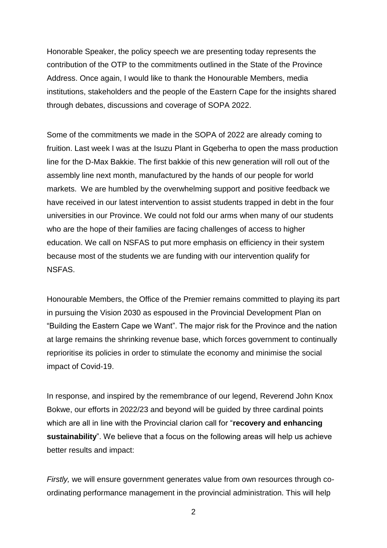Honorable Speaker, the policy speech we are presenting today represents the contribution of the OTP to the commitments outlined in the State of the Province Address. Once again, I would like to thank the Honourable Members, media institutions, stakeholders and the people of the Eastern Cape for the insights shared through debates, discussions and coverage of SOPA 2022.

Some of the commitments we made in the SOPA of 2022 are already coming to fruition. Last week I was at the Isuzu Plant in Gqeberha to open the mass production line for the D-Max Bakkie. The first bakkie of this new generation will roll out of the assembly line next month, manufactured by the hands of our people for world markets. We are humbled by the overwhelming support and positive feedback we have received in our latest intervention to assist students trapped in debt in the four universities in our Province. We could not fold our arms when many of our students who are the hope of their families are facing challenges of access to higher education. We call on NSFAS to put more emphasis on efficiency in their system because most of the students we are funding with our intervention qualify for NSFAS.

Honourable Members, the Office of the Premier remains committed to playing its part in pursuing the Vision 2030 as espoused in the Provincial Development Plan on "Building the Eastern Cape we Want". The major risk for the Province and the nation at large remains the shrinking revenue base, which forces government to continually reprioritise its policies in order to stimulate the economy and minimise the social impact of Covid-19.

In response, and inspired by the remembrance of our legend, Reverend John Knox Bokwe, our efforts in 2022/23 and beyond will be guided by three cardinal points which are all in line with the Provincial clarion call for "**recovery and enhancing sustainability**". We believe that a focus on the following areas will help us achieve better results and impact:

*Firstly,* we will ensure government generates value from own resources through coordinating performance management in the provincial administration. This will help

 $\mathfrak{D}$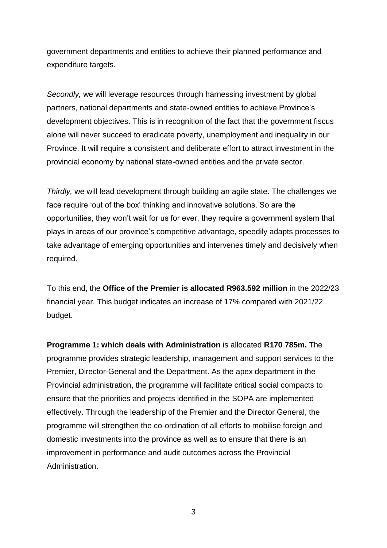government departments and entities to achieve their planned performance and expenditure targets.

*Secondly,* we will leverage resources through harnessing investment by global partners, national departments and state-owned entities to achieve Province's development objectives. This is in recognition of the fact that the government fiscus alone will never succeed to eradicate poverty, unemployment and inequality in our Province. It will require a consistent and deliberate effort to attract investment in the provincial economy by national state-owned entities and the private sector.

*Thirdly,* we will lead development through building an agile state. The challenges we face require 'out of the box' thinking and innovative solutions. So are the opportunities, they won't wait for us for ever, they require a government system that plays in areas of our province's competitive advantage, speedily adapts processes to take advantage of emerging opportunities and intervenes timely and decisively when required.

To this end, the **Office of the Premier is allocated R963.592 million** in the 2022/23 financial year. This budget indicates an increase of 17% compared with 2021/22 budget.

**Programme 1: which deals with Administration** is allocated **R170 785m.** The programme provides strategic leadership, management and support services to the Premier, Director-General and the Department. As the apex department in the Provincial administration, the programme will facilitate critical social compacts to ensure that the priorities and projects identified in the SOPA are implemented effectively. Through the leadership of the Premier and the Director General, the programme will strengthen the co-ordination of all efforts to mobilise foreign and domestic investments into the province as well as to ensure that there is an improvement in performance and audit outcomes across the Provincial Administration.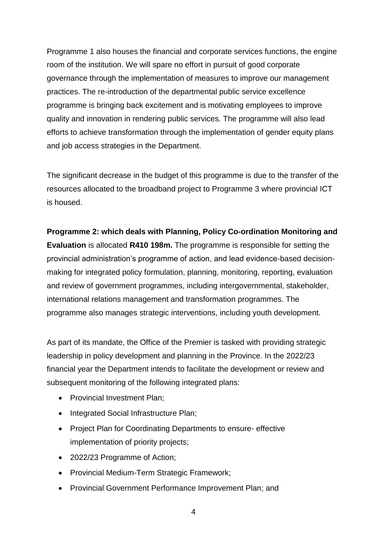Programme 1 also houses the financial and corporate services functions, the engine room of the institution. We will spare no effort in pursuit of good corporate governance through the implementation of measures to improve our management practices. The re-introduction of the departmental public service excellence programme is bringing back excitement and is motivating employees to improve quality and innovation in rendering public services. The programme will also lead efforts to achieve transformation through the implementation of gender equity plans and job access strategies in the Department.

The significant decrease in the budget of this programme is due to the transfer of the resources allocated to the broadband project to Programme 3 where provincial ICT is housed.

## **Programme 2: which deals with Planning, Policy Co-ordination Monitoring and Evaluation** is allocated **R410 198m.** The programme is responsible for setting the provincial administration's programme of action, and lead evidence-based decisionmaking for integrated policy formulation, planning, monitoring, reporting, evaluation and review of government programmes, including intergovernmental, stakeholder, international relations management and transformation programmes. The programme also manages strategic interventions, including youth development.

As part of its mandate, the Office of the Premier is tasked with providing strategic leadership in policy development and planning in the Province. In the 2022/23 financial year the Department intends to facilitate the development or review and subsequent monitoring of the following integrated plans:

- Provincial Investment Plan;
- Integrated Social Infrastructure Plan;
- Project Plan for Coordinating Departments to ensure- effective implementation of priority projects;
- 2022/23 Programme of Action;
- Provincial Medium-Term Strategic Framework;
- Provincial Government Performance Improvement Plan; and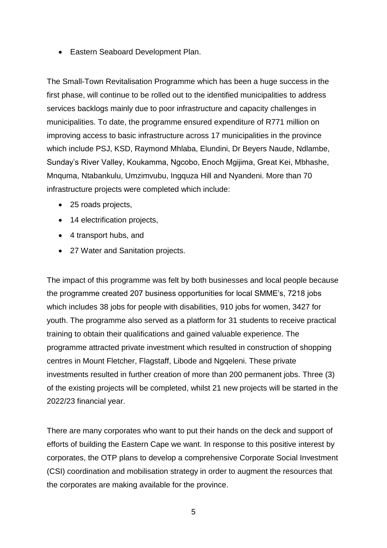Eastern Seaboard Development Plan.

The Small-Town Revitalisation Programme which has been a huge success in the first phase, will continue to be rolled out to the identified municipalities to address services backlogs mainly due to poor infrastructure and capacity challenges in municipalities. To date, the programme ensured expenditure of R771 million on improving access to basic infrastructure across 17 municipalities in the province which include PSJ, KSD, Raymond Mhlaba, Elundini, Dr Beyers Naude, Ndlambe, Sunday's River Valley, Koukamma, Ngcobo, Enoch Mgijima, Great Kei, Mbhashe, Mnquma, Ntabankulu, Umzimvubu, Ingquza Hill and Nyandeni. More than 70 infrastructure projects were completed which include:

- 25 roads projects,
- 14 electrification projects,
- 4 transport hubs, and
- 27 Water and Sanitation projects.

The impact of this programme was felt by both businesses and local people because the programme created 207 business opportunities for local SMME's, 7218 jobs which includes 38 jobs for people with disabilities, 910 jobs for women, 3427 for youth. The programme also served as a platform for 31 students to receive practical training to obtain their qualifications and gained valuable experience. The programme attracted private investment which resulted in construction of shopping centres in Mount Fletcher, Flagstaff, Libode and Ngqeleni. These private investments resulted in further creation of more than 200 permanent jobs. Three (3) of the existing projects will be completed, whilst 21 new projects will be started in the 2022/23 financial year.

There are many corporates who want to put their hands on the deck and support of efforts of building the Eastern Cape we want. In response to this positive interest by corporates, the OTP plans to develop a comprehensive Corporate Social Investment (CSI) coordination and mobilisation strategy in order to augment the resources that the corporates are making available for the province.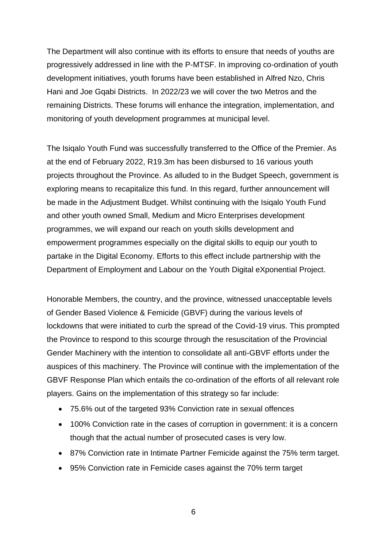The Department will also continue with its efforts to ensure that needs of youths are progressively addressed in line with the P-MTSF. In improving co-ordination of youth development initiatives, youth forums have been established in Alfred Nzo, Chris Hani and Joe Gqabi Districts. In 2022/23 we will cover the two Metros and the remaining Districts. These forums will enhance the integration, implementation, and monitoring of youth development programmes at municipal level.

The Isiqalo Youth Fund was successfully transferred to the Office of the Premier. As at the end of February 2022, R19.3m has been disbursed to 16 various youth projects throughout the Province. As alluded to in the Budget Speech, government is exploring means to recapitalize this fund. In this regard, further announcement will be made in the Adjustment Budget. Whilst continuing with the Isiqalo Youth Fund and other youth owned Small, Medium and Micro Enterprises development programmes, we will expand our reach on youth skills development and empowerment programmes especially on the digital skills to equip our youth to partake in the Digital Economy. Efforts to this effect include partnership with the Department of Employment and Labour on the Youth Digital eXponential Project.

Honorable Members, the country, and the province, witnessed unacceptable levels of Gender Based Violence & Femicide (GBVF) during the various levels of lockdowns that were initiated to curb the spread of the Covid-19 virus. This prompted the Province to respond to this scourge through the resuscitation of the Provincial Gender Machinery with the intention to consolidate all anti-GBVF efforts under the auspices of this machinery. The Province will continue with the implementation of the GBVF Response Plan which entails the co-ordination of the efforts of all relevant role players. Gains on the implementation of this strategy so far include:

- 75.6% out of the targeted 93% Conviction rate in sexual offences
- 100% Conviction rate in the cases of corruption in government: it is a concern though that the actual number of prosecuted cases is very low.
- 87% Conviction rate in Intimate Partner Femicide against the 75% term target.
- 95% Conviction rate in Femicide cases against the 70% term target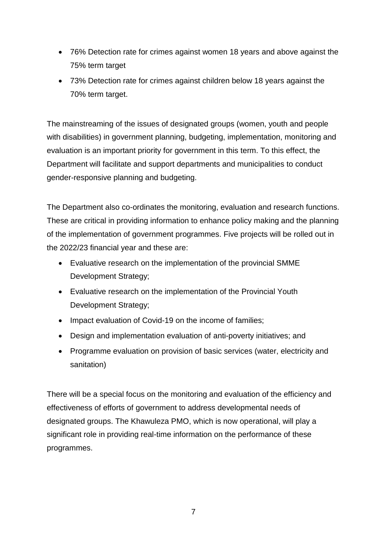- 76% Detection rate for crimes against women 18 years and above against the 75% term target
- 73% Detection rate for crimes against children below 18 years against the 70% term target.

The mainstreaming of the issues of designated groups (women, youth and people with disabilities) in government planning, budgeting, implementation, monitoring and evaluation is an important priority for government in this term. To this effect, the Department will facilitate and support departments and municipalities to conduct gender-responsive planning and budgeting.

The Department also co-ordinates the monitoring, evaluation and research functions. These are critical in providing information to enhance policy making and the planning of the implementation of government programmes. Five projects will be rolled out in the 2022/23 financial year and these are:

- Evaluative research on the implementation of the provincial SMME Development Strategy;
- Evaluative research on the implementation of the Provincial Youth Development Strategy;
- Impact evaluation of Covid-19 on the income of families;
- Design and implementation evaluation of anti-poverty initiatives; and
- Programme evaluation on provision of basic services (water, electricity and sanitation)

There will be a special focus on the monitoring and evaluation of the efficiency and effectiveness of efforts of government to address developmental needs of designated groups. The Khawuleza PMO, which is now operational, will play a significant role in providing real-time information on the performance of these programmes.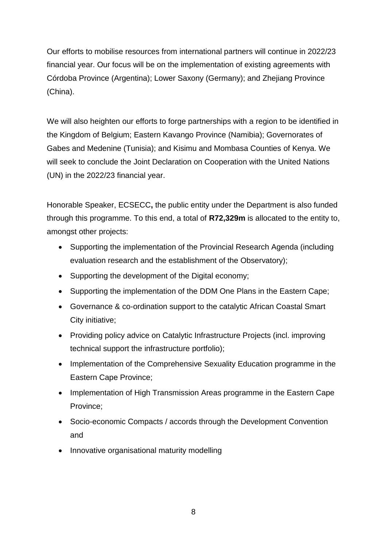Our efforts to mobilise resources from international partners will continue in 2022/23 financial year. Our focus will be on the implementation of existing agreements with Córdoba Province (Argentina); Lower Saxony (Germany); and Zhejiang Province (China).

We will also heighten our efforts to forge partnerships with a region to be identified in the Kingdom of Belgium; Eastern Kavango Province (Namibia); Governorates of Gabes and Medenine (Tunisia); and Kisimu and Mombasa Counties of Kenya. We will seek to conclude the Joint Declaration on Cooperation with the United Nations (UN) in the 2022/23 financial year.

Honorable Speaker, ECSECC**,** the public entity under the Department is also funded through this programme. To this end, a total of **R72,329m** is allocated to the entity to, amongst other projects:

- Supporting the implementation of the Provincial Research Agenda (including evaluation research and the establishment of the Observatory);
- Supporting the development of the Digital economy;
- Supporting the implementation of the DDM One Plans in the Eastern Cape;
- Governance & co-ordination support to the catalytic African Coastal Smart City initiative;
- Providing policy advice on Catalytic Infrastructure Projects (incl. improving technical support the infrastructure portfolio);
- Implementation of the Comprehensive Sexuality Education programme in the Eastern Cape Province;
- Implementation of High Transmission Areas programme in the Eastern Cape Province;
- Socio-economic Compacts / accords through the Development Convention and
- Innovative organisational maturity modelling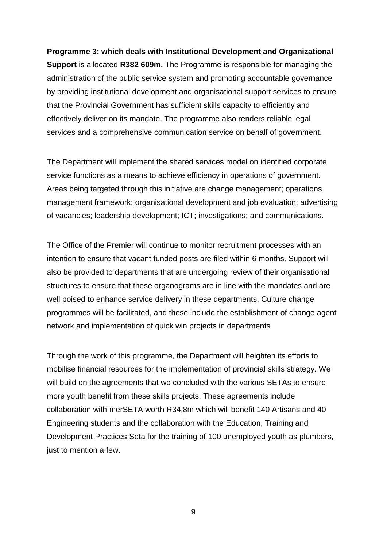## **Programme 3: which deals with Institutional Development and Organizational Support** is allocated **R382 609m.** The Programme is responsible for managing the administration of the public service system and promoting accountable governance by providing institutional development and organisational support services to ensure that the Provincial Government has sufficient skills capacity to efficiently and effectively deliver on its mandate. The programme also renders reliable legal services and a comprehensive communication service on behalf of government.

The Department will implement the shared services model on identified corporate service functions as a means to achieve efficiency in operations of government. Areas being targeted through this initiative are change management; operations management framework; organisational development and job evaluation; advertising of vacancies; leadership development; ICT; investigations; and communications.

The Office of the Premier will continue to monitor recruitment processes with an intention to ensure that vacant funded posts are filed within 6 months. Support will also be provided to departments that are undergoing review of their organisational structures to ensure that these organograms are in line with the mandates and are well poised to enhance service delivery in these departments. Culture change programmes will be facilitated, and these include the establishment of change agent network and implementation of quick win projects in departments

Through the work of this programme, the Department will heighten its efforts to mobilise financial resources for the implementation of provincial skills strategy. We will build on the agreements that we concluded with the various SETAs to ensure more youth benefit from these skills projects. These agreements include collaboration with merSETA worth R34,8m which will benefit 140 Artisans and 40 Engineering students and the collaboration with the Education, Training and Development Practices Seta for the training of 100 unemployed youth as plumbers, just to mention a few.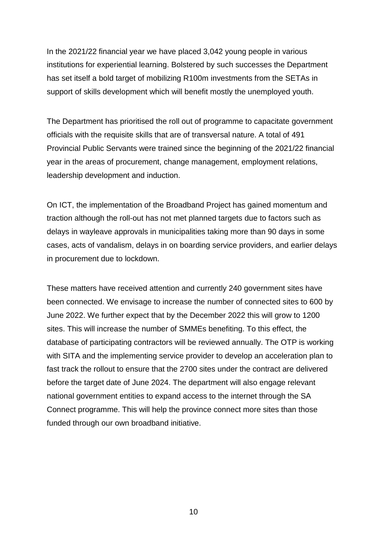In the 2021/22 financial year we have placed 3,042 young people in various institutions for experiential learning. Bolstered by such successes the Department has set itself a bold target of mobilizing R100m investments from the SETAs in support of skills development which will benefit mostly the unemployed youth.

The Department has prioritised the roll out of programme to capacitate government officials with the requisite skills that are of transversal nature. A total of 491 Provincial Public Servants were trained since the beginning of the 2021/22 financial year in the areas of procurement, change management, employment relations, leadership development and induction.

On ICT, the implementation of the Broadband Project has gained momentum and traction although the roll-out has not met planned targets due to factors such as delays in wayleave approvals in municipalities taking more than 90 days in some cases, acts of vandalism, delays in on boarding service providers, and earlier delays in procurement due to lockdown.

These matters have received attention and currently 240 government sites have been connected. We envisage to increase the number of connected sites to 600 by June 2022. We further expect that by the December 2022 this will grow to 1200 sites. This will increase the number of SMMEs benefiting. To this effect, the database of participating contractors will be reviewed annually. The OTP is working with SITA and the implementing service provider to develop an acceleration plan to fast track the rollout to ensure that the 2700 sites under the contract are delivered before the target date of June 2024. The department will also engage relevant national government entities to expand access to the internet through the SA Connect programme. This will help the province connect more sites than those funded through our own broadband initiative.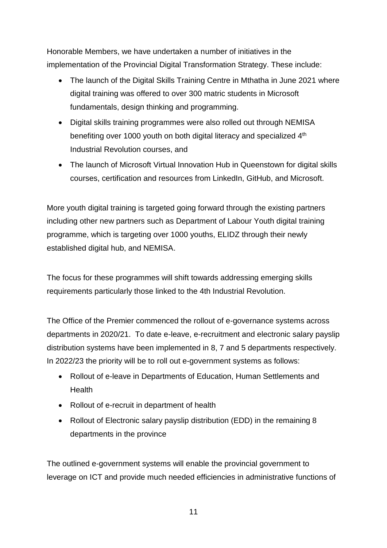Honorable Members, we have undertaken a number of initiatives in the implementation of the Provincial Digital Transformation Strategy. These include:

- The launch of the Digital Skills Training Centre in Mthatha in June 2021 where digital training was offered to over 300 matric students in Microsoft fundamentals, design thinking and programming.
- Digital skills training programmes were also rolled out through NEMISA benefiting over 1000 youth on both digital literacy and specialized 4<sup>th</sup> Industrial Revolution courses, and
- The launch of Microsoft Virtual Innovation Hub in Queenstown for digital skills courses, certification and resources from LinkedIn, GitHub, and Microsoft.

More youth digital training is targeted going forward through the existing partners including other new partners such as Department of Labour Youth digital training programme, which is targeting over 1000 youths, ELIDZ through their newly established digital hub, and NEMISA.

The focus for these programmes will shift towards addressing emerging skills requirements particularly those linked to the 4th Industrial Revolution.

The Office of the Premier commenced the rollout of e-governance systems across departments in 2020/21. To date e-leave, e-recruitment and electronic salary payslip distribution systems have been implemented in 8, 7 and 5 departments respectively. In 2022/23 the priority will be to roll out e-government systems as follows:

- Rollout of e-leave in Departments of Education, Human Settlements and **Health**
- Rollout of e-recruit in department of health
- Rollout of Electronic salary payslip distribution (EDD) in the remaining 8 departments in the province

The outlined e-government systems will enable the provincial government to leverage on ICT and provide much needed efficiencies in administrative functions of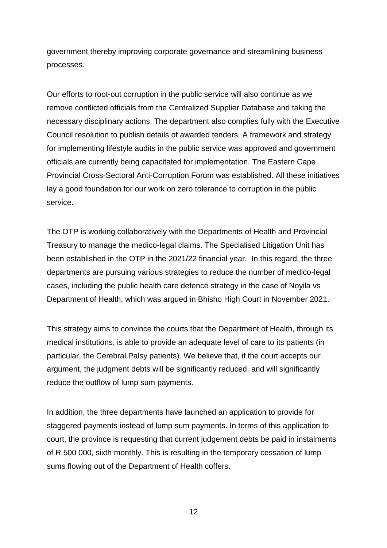government thereby improving corporate governance and streamlining business processes.

Our efforts to root-out corruption in the public service will also continue as we remove conflicted officials from the Centralized Supplier Database and taking the necessary disciplinary actions. The department also complies fully with the Executive Council resolution to publish details of awarded tenders. A framework and strategy for implementing lifestyle audits in the public service was approved and government officials are currently being capacitated for implementation. The Eastern Cape Provincial Cross-Sectoral Anti-Corruption Forum was established. All these initiatives lay a good foundation for our work on zero tolerance to corruption in the public service.

The OTP is working collaboratively with the Departments of Health and Provincial Treasury to manage the medico-legal claims. The Specialised Litigation Unit has been established in the OTP in the 2021/22 financial year. In this regard, the three departments are pursuing various strategies to reduce the number of medico-legal cases, including the public health care defence strategy in the case of Noyila vs Department of Health, which was argued in Bhisho High Court in November 2021.

This strategy aims to convince the courts that the Department of Health, through its medical institutions, is able to provide an adequate level of care to its patients (in particular, the Cerebral Palsy patients). We believe that, if the court accepts our argument, the judgment debts will be significantly reduced, and will significantly reduce the outflow of lump sum payments.

In addition, the three departments have launched an application to provide for staggered payments instead of lump sum payments. In terms of this application to court, the province is requesting that current judgement debts be paid in instalments of R 500 000, sixth monthly. This is resulting in the temporary cessation of lump sums flowing out of the Department of Health coffers.